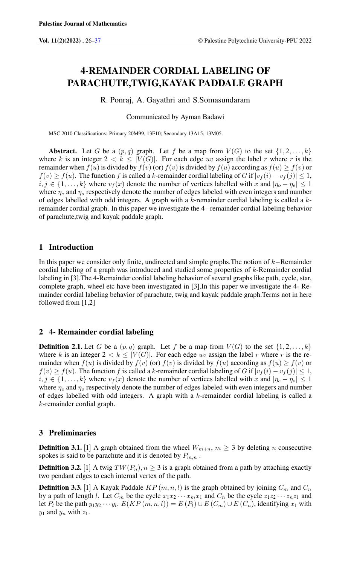# 4-REMAINDER CORDIAL LABELING OF PARACHUTE,TWIG,KAYAK PADDALE GRAPH

R. Ponraj, A. Gayathri and S.Somasundaram

Communicated by Ayman Badawi

MSC 2010 Classifications: Primary 20M99, 13F10; Secondary 13A15, 13M05.

Abstract. Let G be a  $(p,q)$  graph. Let f be a map from  $V(G)$  to the set  $\{1, 2, \ldots, k\}$ where k is an integer  $2 < k \leq |V(G)|$ . For each edge uv assign the label r where r is the remainder when  $f(u)$  is divided by  $f(v)$  (or)  $f(v)$  is divided by  $f(u)$  according as  $f(u) > f(v)$  or  $f(v) \ge f(u)$ . The function f is called a k-remainder cordial labeling of G if  $|v_f(i) - v_f(j)| \le 1$ ,  $i, j \in \{1, \ldots, k\}$  where  $v_f(x)$  denote the number of vertices labelled with x and  $|\eta_o - \eta_e| \leq 1$ where  $\eta_e$  and  $\eta_o$  respectively denote the number of edges labeled with even integers and number of edges labelled with odd integers. A graph with a  $k$ -remainder cordial labeling is called a  $k$ remainder cordial graph. In this paper we investigate the 4−remainder cordial labeling behavior of parachute,twig and kayak paddale graph.

# 1 Introduction

In this paper we consider only finite, undirected and simple graphs.The notion of k−Remainder cordial labeling of a graph was introduced and studied some properties of k-Remainder cordial labeling in [3].The 4-Remainder cordial labeling behavior of several graphs like path, cycle, star, complete graph, wheel etc have been investigated in [3].In this paper we investigate the 4- Remainder cordial labeling behavior of parachute, twig and kayak paddale graph.Terms not in here followed from [1,2]

# 2 4- Remainder cordial labeling

**Definition 2.1.** Let G be a  $(p,q)$  graph. Let f be a map from  $V(G)$  to the set  $\{1, 2, \ldots, k\}$ where k is an integer  $2 < k \leq |V(G)|$ . For each edge uv assign the label r where r is the remainder when  $f(u)$  is divided by  $f(v)$  (or)  $f(v)$  is divided by  $f(u)$  according as  $f(u) \geq f(v)$  or  $f(v) \ge f(u)$ . The function f is called a k-remainder cordial labeling of G if  $|v_f(i) - v_f(j)| \le 1$ ,  $i, j \in \{1, ..., k\}$  where  $v_f(x)$  denote the number of vertices labelled with x and  $|\eta_e - \eta_o| \leq 1$ where  $\eta_e$  and  $\eta_o$  respectively denote the number of edges labeled with even integers and number of edges labelled with odd integers. A graph with a  $k$ -remainder cordial labeling is called a k-remainder cordial graph.

# 3 Preliminaries

**Definition 3.1.** [1] A graph obtained from the wheel  $W_{m+n}$ ,  $m \geq 3$  by deleting n consecutive spokes is said to be parachute and it is denoted by  $P_{m,n}$ .

**Definition 3.2.** [1] A twig  $TW(P_n), n \geq 3$  is a graph obtained from a path by attaching exactly two pendant edges to each internal vertex of the path.

**Definition 3.3.** [1] A Kayak Paddale  $KP(m, n, l)$  is the graph obtained by joining  $C_m$  and  $C_n$ by a path of length l. Let  $C_m$  be the cycle  $x_1x_2 \cdots x_mx_1$  and  $C_n$  be the cycle  $z_1z_2 \cdots z_nz_1$  and let  $P_l$  be the path  $y_1y_2 \cdots y_l$ .  $E(KP(m, n, l)) = E(P_l) \cup E(C_m) \cup E(C_n)$ , identifying  $x_1$  with  $y_1$  and  $y_n$  with  $z_1$ .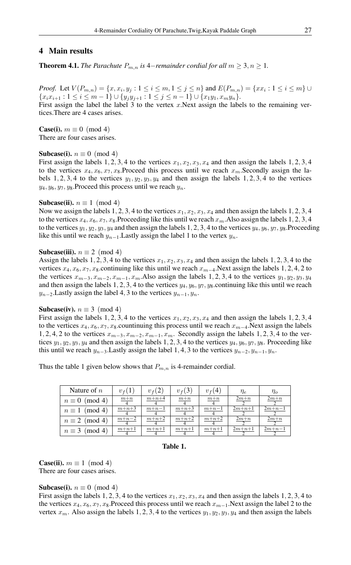# 4 Main results

**Theorem 4.1.** *The Parachute*  $P_{m,n}$  *is* 4−*remainder cordial for all*  $m \geq 3, n \geq 1$ *.* 

*Proof.* Let  $V(P_{m,n}) = \{x, x_i, y_j : 1 \le i \le m, 1 \le j \le n\}$  and  $E(P_{m,n}) = \{xx_i : 1 \le i \le m\}$  ${x_i x_{i+1} : 1 \le i \le m-1} \cup {y_i y_{j+1} : 1 \le j \le n-1} \cup {x_1 y_1, x_m y_n}.$ 

First assign the label the label 3 to the vertex  $x$ . Next assign the labels to the remaining vertices.There are 4 cases arises.

**Case(i).**  $m \equiv 0 \pmod{4}$ There are four cases arises.

#### **Subcase(i).**  $n \equiv 0 \pmod{4}$

First assign the labels 1, 2, 3, 4 to the vertices  $x_1, x_2, x_3, x_4$  and then assign the labels 1, 2, 3, 4 to the vertices  $x_4, x_6, x_7, x_8$ . Proceed this process until we reach  $x_m$ . Secondly assign the labels 1, 2, 3, 4 to the vertices  $y_1, y_2, y_3, y_4$  and then assign the labels 1, 2, 3, 4 to the vertices  $y_4, y_6, y_7, y_8$ . Proceed this process until we reach  $y_n$ .

#### Subcase(ii).  $n \equiv 1 \pmod{4}$

Now we assign the labels 1, 2, 3, 4 to the vertices  $x_1, x_2, x_3, x_4$  and then assign the labels 1, 2, 3, 4 to the vertices  $x_4, x_6, x_7, x_8$ . Proceeding like this until we reach  $x_m$ . Also assign the labels 1, 2, 3, 4 to the vertices  $y_1, y_2, y_3, y_4$  and then assign the labels 1, 2, 3, 4 to the vertices  $y_4, y_6, y_7, y_8$ . Proceeding like this until we reach  $y_{n-1}$ . Lastly assign the label 1 to the vertex  $y_n$ .

## Subcase(iii).  $n \equiv 2 \pmod{4}$

Assign the labels 1, 2, 3, 4 to the vertices  $x_1, x_2, x_3, x_4$  and then assign the labels 1, 2, 3, 4 to the vertices  $x_4, x_6, x_7, x_8$ .continuing like this until we reach  $x_{m-4}$ .Next assign the labels 1, 2, 4, 2 to the vertices  $x_{m-3}, x_{m-2}, x_{m-1}, x_m$ . Also assign the labels 1, 2, 3, 4 to the vertices  $y_1, y_2, y_3, y_4$ and then assign the labels 1, 2, 3, 4 to the vertices  $y_4$ ,  $y_6$ ,  $y_7$ ,  $y_8$  continuing like this until we reach  $y_{n-2}$ . Lastly assign the label 4, 3 to the vertices  $y_{n-1}, y_n$ .

#### Subcase(iv).  $n \equiv 3 \pmod{4}$

First assign the labels 1, 2, 3, 4 to the vertices  $x_1, x_2, x_3, x_4$  and then assign the labels 1, 2, 3, 4 to the vertices  $x_4, x_6, x_7, x_8$  countinuing this process until we reach  $x_{m-4}$ .Next assign the labels 1, 2, 4, 2 to the vertices  $x_{m-3}, x_{m-2}, x_{m-1}, x_m$ . Secondly assign the labels 1, 2, 3, 4 to the vertices  $y_1, y_2, y_3, y_4$  and then assign the labels 1, 2, 3, 4 to the vertices  $y_4, y_6, y_7, y_8$ . Proceeding like this until we reach  $y_{n-3}$ . Lastly assign the label 1, 4, 3 to the vertices  $y_{n-2}$ ,  $y_{n-1}$ ,  $y_n$ .

Thus the table 1 given below shows that  $P_{m,n}$  is 4-remainder cordial.

| Nature of $n$         | $v_f(1)$ | $v_{f}(2)$ | $v_{f}(3)$ | $v_f(4)$ | $\eta_e$ | $\eta_o$ |
|-----------------------|----------|------------|------------|----------|----------|----------|
| $n \equiv 0 \pmod{4}$ | $m+n$    | $m+n+4$    | $m+n$      | $m+n$    | $2m+n$   | $2m+n$   |
| $n \equiv 1 \pmod{4}$ | $m+n+3$  | $m+n-1$    | $m+n+3$    | $m+n-1$  | $2m+n+1$ | $2m+n-1$ |
| $n \equiv 2 \pmod{4}$ | $m+n-2$  | $m+n+2$    | $m+n+2$    | $m+n+2$  | $2m+n$   | $2m+n$   |
| $n \equiv 3 \pmod{4}$ | $m+n+1$  | $m+n+1$    | $m+n+1$    | $m+n+1$  | $2m+n+1$ | $2m+n-1$ |

## Table 1.

**Case(ii).**  $m \equiv 1 \pmod{4}$ There are four cases arises.

## Subcase(i).  $n \equiv 0 \pmod{4}$

First assign the labels 1, 2, 3, 4 to the vertices  $x_1, x_2, x_3, x_4$  and then assign the labels 1, 2, 3, 4 to the vertices  $x_4, x_6, x_7, x_8$ .Proceed this process until we reach  $x_{m-1}$ .Next assign the label 2 to the vertex  $x_m$ . Also assign the labels 1, 2, 3, 4 to the vertices  $y_1, y_2, y_3, y_4$  and then assign the labels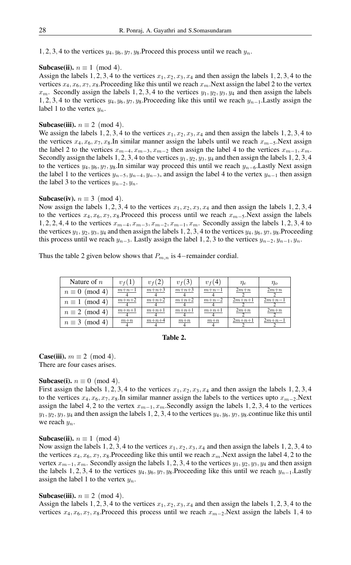1, 2, 3, 4 to the vertices  $y_4, y_6, y_7, y_8$ . Proceed this process until we reach  $y_n$ .

## **Subcase(ii).**  $n \equiv 1 \pmod{4}$ .

Assign the labels 1, 2, 3, 4 to the vertices  $x_1, x_2, x_3, x_4$  and then assign the labels 1, 2, 3, 4 to the vertices  $x_4, x_6, x_7, x_8$ . Proceeding like this until we reach  $x_m$ . Next assign the label 2 to the vertex  $x_m$ . Secondly assign the labels 1, 2, 3, 4 to the vertices  $y_1, y_2, y_3, y_4$  and then assign the labels 1, 2, 3, 4 to the vertices  $y_4, y_6, y_7, y_8$ .Proceeding like this until we reach  $y_{n-1}$ .Lastly assign the label 1 to the vertex  $y_n$ .

## Subcase(iii).  $n \equiv 2 \pmod{4}$ .

We assign the labels 1, 2, 3, 4 to the vertices  $x_1, x_2, x_3, x_4$  and then assign the labels 1, 2, 3, 4 to the vertices  $x_4, x_6, x_7, x_8$ .In similar manner assign the labels until we reach  $x_{m-5}$ .Next assign the label 2 to the vertices  $x_{m-4}, x_{m-3}, x_{m-2}$  then assign the label 4 to the vertices  $x_{m-1}, x_m$ . Secondly assign the labels 1, 2, 3, 4 to the vertices  $y_1, y_2, y_3, y_4$  and then assign the labels 1, 2, 3, 4 to the vertices  $y_4, y_6, y_7, y_8$ .In similar way proceed this until we reach  $y_{n-6}$ .Lastly Next assign the label 1 to the vertices  $y_{n-5}$ ,  $y_{n-4}$ ,  $y_{n-3}$ , and assign the label 4 to the vertex  $y_{n-1}$  then assign the label 3 to the vertices  $y_{n-2}, y_n$ .

## **Subcase(iv).**  $n \equiv 3 \pmod{4}$ .

Now assign the labels 1, 2, 3, 4 to the vertices  $x_1, x_2, x_3, x_4$  and then assign the labels 1, 2, 3, 4 to the vertices  $x_4, x_6, x_7, x_8$ .Proceed this process until we reach  $x_{m-5}$ .Next assign the labels 1, 2, 2, 4, 4 to the vertices  $x_{m-4}, x_{m-3}, x_{m-2}, x_{m-1}, x_m$ . Secondly assign the labels 1, 2, 3, 4 to the vertices  $y_1, y_2, y_3, y_4$  and then assign the labels 1, 2, 3, 4 to the vertices  $y_4, y_6, y_7, y_8$ . Proceeding this process until we reach  $y_{n-3}$ . Lastly assign the label 1, 2, 3 to the vertices  $y_{n-2}, y_{n-1}, y_n$ .

Thus the table 2 given below shows that  $P_{m,n}$  is 4−remainder cordial.

| Nature of $n$         | $v_f(1)$ | $v_f(2)$ | $v_{f}(3)$ | $v_{f}(4)$ | $\eta_e$ | $\eta_{o}$ |
|-----------------------|----------|----------|------------|------------|----------|------------|
| $n \equiv 0 \pmod{4}$ | $m+n-1$  | $m+n+3$  | $m+n+3$    | $m+n-1$    | $2m+n$   | $2m+n$     |
| $n \equiv 1 \pmod{4}$ | $m+n+2$  | $m+n+2$  | $m+n+2$    | $m+n-2$    | $2m+n+1$ | $2m+n-1$   |
| $n \equiv 2 \pmod{4}$ | $m+n+1$  | $m+n+1$  | $m+n+1$    | $m+n+1$    | $2m+n$   | $2m+n$     |
| $n \equiv 3 \pmod{4}$ | $m+n$    | $m+n+4$  | $m+n$      | $m+n$      | $2m+n+1$ | $2m+n-1$   |

## Table 2.

**Case(iii).**  $m \equiv 2 \pmod{4}$ . There are four cases arises.

## Subcase(i).  $n \equiv 0 \pmod{4}$ .

First assign the labels 1, 2, 3, 4 to the vertices  $x_1, x_2, x_3, x_4$  and then assign the labels 1, 2, 3, 4 to the vertices  $x_4, x_6, x_7, x_8$ . In similar manner assign the labels to the vertices upto  $x_{m-2}$ . Next assign the label 4, 2 to the vertex  $x_{m-1}, x_m$ . Secondly assign the labels 1, 2, 3, 4 to the vertices  $y_1, y_2, y_3, y_4$  and then assign the labels 1, 2, 3, 4 to the vertices  $y_4, y_6, y_7, y_8$  continue like this until we reach  $y_n$ .

# Subcase(ii).  $n \equiv 1 \pmod{4}$

Now assign the labels 1, 2, 3, 4 to the vertices  $x_1, x_2, x_3, x_4$  and then assign the labels 1, 2, 3, 4 to the vertices  $x_4, x_6, x_7, x_8$ . Proceeding like this until we reach  $x_m$ . Next assign the label 4, 2 to the vertex  $x_{m-1}, x_m$ . Secondly assign the labels 1, 2, 3, 4 to the vertices  $y_1, y_2, y_3, y_4$  and then assign the labels 1, 2, 3, 4 to the vertices  $y_4, y_6, y_7, y_8$ .Proceeding like this until we reach  $y_{n-1}$ .Lastly assign the label 1 to the vertex  $y_n$ .

#### **Subcase(iii).**  $n \equiv 2 \pmod{4}$ .

Assign the labels 1, 2, 3, 4 to the vertices  $x_1, x_2, x_3, x_4$  and then assign the labels 1, 2, 3, 4 to the vertices  $x_4, x_6, x_7, x_8$ .Proceed this process until we reach  $x_{m-2}$ .Next assign the labels 1,4 to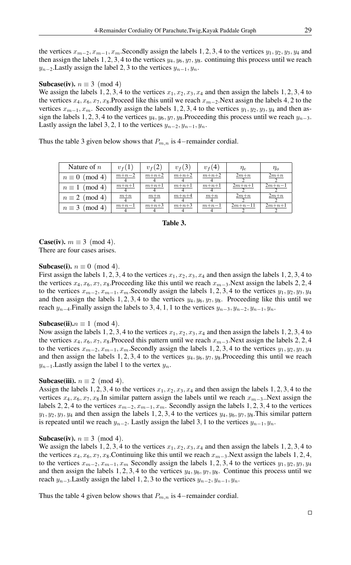the vertices  $x_{m-2}, x_{m-1}, x_m$ . Secondly assign the labels 1, 2, 3, 4 to the vertices  $y_1, y_2, y_3, y_4$  and then assign the labels 1, 2, 3, 4 to the vertices  $y_4, y_6, y_7, y_8$ . continuing this process until we reach  $y_{n-2}$ . Lastly assign the label 2, 3 to the vertices  $y_{n-1}, y_n$ .

#### **Subcase(iv).**  $n \equiv 3 \pmod{4}$

We assign the labels 1, 2, 3, 4 to the vertices  $x_1, x_2, x_3, x_4$  and then assign the labels 1, 2, 3, 4 to the vertices  $x_4, x_6, x_7, x_8$ .Proceed like this until we reach  $x_{m-2}$ .Next assign the labels 4, 2 to the vertices  $x_{m-1}, x_m$ . Secondly assign the labels 1, 2, 3, 4 to the vertices  $y_1, y_2, y_3, y_4$  and then assign the labels 1, 2, 3, 4 to the vertices  $y_4$ ,  $y_6$ ,  $y_7$ ,  $y_8$ .Proceeding this process until we reach  $y_{n-3}$ . Lastly assign the label 3, 2, 1 to the vertices  $y_{n-2}, y_{n-1}, y_n$ .

Thus the table 3 given below shows that  $P_{m,n}$  is 4−remainder cordial.

| Nature of $n$           | $v_f(1)$ | $v_f(2)$ | $v_f(3)$ | $v_{f}(4)$ | $\eta_e$  | $\eta_o$ |
|-------------------------|----------|----------|----------|------------|-----------|----------|
| (mod 4)<br>$n\equiv 0$  | $m+n-2$  | $m+n+2$  | $m+n+2$  | $m+n+2$    | $2m+n$    | $2m+n$   |
| (mod 4)<br>$n \equiv 1$ | $m+n+1$  | $m+n+1$  | $m+n+1$  | $m+n+1$    | $2m+n+1$  | $2m+n-1$ |
| $n \equiv 2 \pmod{4}$   | $m+n$    | $m+n$    | $m+n+4$  | $m+n$      | $2m+n$    | $2m+n$   |
| (mod 4)<br>$n \equiv 3$ | $m+n-1$  | $m+n+3$  | $m+n+3$  | $m+n-1$    | $2m+n-11$ | $2m+n+1$ |

# Table 3.

**Case(iv).**  $m \equiv 3 \pmod{4}$ . There are four cases arises.

## Subcase(i).  $n \equiv 0 \pmod{4}$ .

First assign the labels 1, 2, 3, 4 to the vertices  $x_1, x_2, x_3, x_4$  and then assign the labels 1, 2, 3, 4 to the vertices  $x_4, x_6, x_7, x_8$ .Proceeding like this until we reach  $x_{m-3}$ .Next assign the labels 2, 2, 4 to the vertices  $x_{m-2}, x_{m-1}, x_m$ . Secondly assign the labels 1, 2, 3, 4 to the vertices  $y_1, y_2, y_3, y_4$ and then assign the labels 1, 2, 3, 4 to the vertices  $y_4$ ,  $y_6$ ,  $y_7$ ,  $y_8$ . Proceeding like this until we reach  $y_{n-4}$ . Finally assign the labels to 3, 4, 1, 1 to the vertices  $y_{n-3}$ ,  $y_{n-2}$ ,  $y_{n-1}$ ,  $y_n$ .

## Subcase(ii). $n \equiv 1 \pmod{4}$ .

Now assign the labels 1, 2, 3, 4 to the vertices  $x_1, x_2, x_3, x_4$  and then assign the labels 1, 2, 3, 4 to the vertices  $x_4, x_6, x_7, x_8$ .Proceed this pattern until we reach  $x_{m-3}$ .Next assign the labels 2, 2, 4 to the vertices  $x_{m-2}, x_{m-1}, x_m$ . Secondly assign the labels 1, 2, 3, 4 to the vertices  $y_1, y_2, y_3, y_4$ and then assign the labels 1, 2, 3, 4 to the vertices  $y_4, y_6, y_7, y_8$ . Proceeding this until we reach  $y_{n-1}$ . Lastly assign the label 1 to the vertex  $y_n$ .

## Subcase(iii).  $n \equiv 2 \pmod{4}$ .

Assign the labels 1, 2, 3, 4 to the vertices  $x_1, x_2, x_3, x_4$  and then assign the labels 1, 2, 3, 4 to the vertices  $x_4, x_6, x_7, x_8$ .In similar pattern assign the labels until we reach  $x_{m-3}$ . Next assign the labels 2, 2, 4 to the vertices  $x_{m-2}, x_{m-1}, x_m$ . Secondly assign the labels 1, 2, 3, 4 to the vertices  $y_1, y_2, y_3, y_4$  and then assign the labels 1, 2, 3, 4 to the vertices  $y_4, y_6, y_7, y_8$ . This similar pattern is repeated until we reach  $y_{n-2}$ . Lastly assign the label 3, 1 to the vertices  $y_{n-1}, y_n$ .

## Subcase(iv).  $n \equiv 3 \pmod{4}$ .

We assign the labels 1, 2, 3, 4 to the vertices  $x_1, x_2, x_3, x_4$  and then assign the labels 1, 2, 3, 4 to the vertices  $x_4, x_6, x_7, x_8$ . Continuing like this until we reach  $x_{m-3}$ . Next assign the labels 1, 2, 4, to the vertices  $x_{m-2}, x_{m-1}, x_m$  Secondly assign the labels 1, 2, 3, 4 to the vertices  $y_1, y_2, y_3, y_4$ and then assign the labels 1, 2, 3, 4 to the vertices  $y_4$ ,  $y_6$ ,  $y_7$ ,  $y_8$ . Continue this process until we reach  $y_{n-3}$ . Lastly assign the label 1, 2, 3 to the vertices  $y_{n-2}$ ,  $y_{n-1}$ ,  $y_n$ .

Thus the table 4 given below shows that  $P_{m,n}$  is 4–remainder cordial.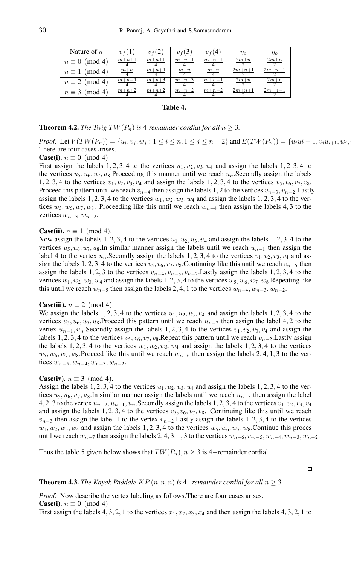| Nature of $n$          | $v_f(1)$ | $v_f(2)$ | $v_f(3)$ | $v_f(4)$ | $\eta_e$ | $\eta_{o}$ |
|------------------------|----------|----------|----------|----------|----------|------------|
| (mod 4)<br>$n\equiv 0$ | $m+n+1$  | $m+n+1$  | $m+n+1$  | $m+n+1$  | $2m+n$   | $2m+n$     |
| $n \equiv 1 \pmod{4}$  | $m+n$    | $m+n+4$  | $m+n$    | $m+n$    | $2m+n+1$ | $2m+n-1$   |
| $n \equiv 2 \pmod{4}$  | $m+n-1$  | $m+n+3$  | $m+n+3$  | $m+n-1$  | $2m+n$   | $2m+n$     |
| $n \equiv 3 \pmod{4}$  | $m+n+2$  | $m+n+2$  | $m+n+2$  | $m+n-2$  | $2m+n+1$ | $2m+n-1$   |

## Table 4.

#### **Theorem 4.2.** *The Twig*  $TW(P_n)$  *is* 4*-remainder cordial for all*  $n \geq 3$ *.*

*Proof.* Let  $V(TW(P_n)) = \{u_i, v_j, w_j : 1 \le i \le n, 1 \le j \le n-2\}$  and  $E(TW(P_n)) = \{u_iui + 1, v_iu_{i+1}, w_iu_{i+1} \}$  $,$ There are four cases arises.

#### **Case(i).**  $n \equiv 0 \pmod{4}$

First assign the labels 1, 2, 3, 4 to the vertices  $u_1, u_2, u_3, u_4$  and assign the labels 1, 2, 3, 4 to the vertices  $u_5, u_6, u_7, u_8$ . Proceeding this manner until we reach  $u_n$ . Secondly assign the labels 1, 2, 3, 4 to the vertices  $v_1, v_2, v_3, v_4$  and assign the labels 1, 2, 3, 4 to the vertices  $v_5, v_6, v_7, v_8$ . Proceed this pattern until we reach  $v_{n-4}$  then assign the labels 1, 2 to the vertices  $v_{n-3}$ ,  $v_{n-2}$ .Lastly assign the labels 1, 2, 3, 4 to the vertices  $w_1, w_2, w_3, w_4$  and assign the labels 1, 2, 3, 4 to the vertices  $w_5, w_6, w_7, w_8$ . Proceeding like this until we reach  $w_{n-4}$  then assign the labels 4, 3 to the vertices  $w_{n-3}, w_{n-2}$ .

#### **Case(ii).**  $n \equiv 1 \pmod{4}$ .

Now assign the labels 1, 2, 3, 4 to the vertices  $u_1, u_2, u_3, u_4$  and assign the labels 1, 2, 3, 4 to the vertices  $u_5, u_6, u_7, u_8$ . In similar manner assign the labels until we reach  $u_{n-1}$  then assign the label 4 to the vertex  $u_n$ . Secondly assign the labels 1, 2, 3, 4 to the vertices  $v_1, v_2, v_3, v_4$  and assign the labels 1, 2, 3, 4 to the vertices  $v_5$ ,  $v_6$ ,  $v_7$ ,  $v_8$ .Continuing like this until we reach  $v_{n-5}$  then assign the labels 1, 2, 3 to the vertices  $v_{n-4}, v_{n-3}, v_{n-2}$ . Lastly assign the labels 1, 2, 3, 4 to the vertices  $w_1, w_2, w_3, w_4$  and assign the labels 1, 2, 3, 4 to the vertices  $w_5, w_6, w_7, w_8$ . Repeating like this until we reach  $w_{n-5}$  then assign the labels 2, 4, 1 to the vertices  $w_{n-4}, w_{n-3}, w_{n-2}$ .

#### **Case(iii).**  $n \equiv 2 \pmod{4}$ .

We assign the labels 1, 2, 3, 4 to the vertices  $u_1, u_2, u_3, u_4$  and assign the labels 1, 2, 3, 4 to the vertices  $u_5, u_6, u_7, u_8$ .Proceed this pattern until we reach  $u_{n-2}$  then assign the label 4, 2 to the vertex  $u_{n-1}, u_n$ . Secondly assign the labels 1, 2, 3, 4 to the vertices  $v_1, v_2, v_3, v_4$  and assign the labels 1, 2, 3, 4 to the vertices  $v_5$ ,  $v_6$ ,  $v_7$ ,  $v_8$ .Repeat this pattern until we reach  $v_{n-2}$ .Lastly assign the labels 1, 2, 3, 4 to the vertices  $w_1, w_2, w_3, w_4$  and assign the labels 1, 2, 3, 4 to the vertices  $w_5, w_6, w_7, w_8$ .Proceed like this until we reach  $w_{n-6}$  then assign the labels 2, 4, 1, 3 to the vertices  $w_{n-5}$ ,  $w_{n-4}$ ,  $w_{n-3}$ ,  $w_{n-2}$ .

#### **Case(iv).**  $n \equiv 3 \pmod{4}$ .

Assign the labels 1, 2, 3, 4 to the vertices  $u_1, u_2, u_3, u_4$  and assign the labels 1, 2, 3, 4 to the vertices  $u_5, u_6, u_7, u_8$ . In similar manner assign the labels until we reach  $u_{n-3}$  then assign the label 4, 2, 3 to the vertex  $u_{n-2}, u_{n-1}, u_n$ . Secondly assign the labels 1, 2, 3, 4 to the vertices  $v_1, v_2, v_3, v_4$ and assign the labels 1, 2, 3, 4 to the vertices  $v_5$ ,  $v_6$ ,  $v_7$ ,  $v_8$ . Continuing like this until we reach  $v_{n-3}$  then assign the label 1 to the vertex  $v_{n-2}$ . Lastly assign the labels 1, 2, 3, 4 to the vertices  $w_1, w_2, w_3, w_4$  and assign the labels 1, 2, 3, 4 to the vertices  $w_5, w_6, w_7, w_8$ . Continue this proces until we reach  $w_{n-7}$  then assign the labels 2, 4, 3, 1, 3 to the vertices  $w_{n-6}$ ,  $w_{n-5}$ ,  $w_{n-4}$ ,  $w_{n-3}$ ,  $w_{n-2}$ .

Thus the table 5 given below shows that  $TW(P_n), n \geq 3$  is 4-remainder cordial.

 $\Box$ 

**Theorem 4.3.** *The Kayak Paddale*  $KP(n, n, n)$  *is* 4−*remainder cordial for all*  $n \geq 3$ *.* 

*Proof.* Now describe the vertex labeling as follows. There are four cases arises. **Case(i).**  $n \equiv 0 \pmod{4}$ 

First assign the labels 4, 3, 2, 1 to the vertices  $x_1, x_2, x_3, x_4$  and then assign the labels 4, 3, 2, 1 to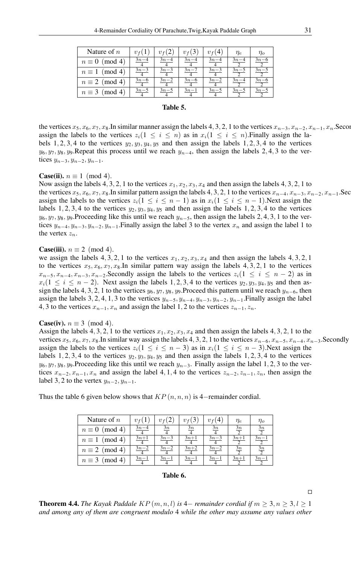| Nature of $n$         | $v_f(1)$ | $v_{\rm f}(2)$ | $v_f(3)$ | $v_f(4)$ | $\eta_e$ | $\eta_{o}$ |
|-----------------------|----------|----------------|----------|----------|----------|------------|
| $n \equiv 0 \pmod{4}$ | $3n-4$   | $3n-4$         | $3n-4$   | $3n-4$   | $3n-4$   | $3n-6$     |
| $n \equiv 1 \pmod{4}$ | $3n-3$   | $3n-3$         | $3n - 7$ | $3n-3$   | $3n-5$   | $3n - 5$   |
| $n \equiv 2 \pmod{4}$ | $3n-6$   | $3n-2$         | $3n-6$   | $3n-2$   | $3n-4$   | $3n-6$     |
| $n \equiv 3 \pmod{4}$ | $3n-5$   | $3n - 5$       | $3n-1$   | $3n - 5$ | $3n-5$   | $3n - 5$   |

## Table 5.

the vertices  $x_5, x_6, x_7, x_8$ .In similar manner assign the labels 4, 3, 2, 1 to the vertices  $x_{n-3}, x_{n-2}, x_{n-1}, x_n$ .Secondly assign the labels to the vertices  $z_i(1 \leq i \leq n)$  as in  $x_i(1 \leq i \leq n)$ . Finally assign the labels 1, 2, 3, 4 to the vertices  $y_2, y_3, y_4, y_5$  and then assign the labels 1, 2, 3, 4 to the vertices  $y_6, y_7, y_8, y_9$ .Repeat this process until we reach  $y_{n-4}$ , then assign the labels 2, 4, 3 to the vertices  $y_{n-3}, y_{n-2}, y_{n-1}$ .

## **Case(ii).**  $n \equiv 1 \pmod{4}$ .

Now assign the labels 4, 3, 2, 1 to the vertices  $x_1, x_2, x_3, x_4$  and then assign the labels 4, 3, 2, 1 to the vertices  $x_5, x_6, x_7, x_8$ .In similar pattern assign the labels 4, 3, 2, 1 to the vertices  $x_{n-4}, x_{n-3}, x_{n-2}, x_{n-1}$ . Sec assign the labels to the vertices  $z_i(1 \le i \le n-1)$  as in  $x_i(1 \le i \le n-1)$ . Next assign the labels 1, 2, 3, 4 to the vertices  $y_2, y_3, y_4, y_5$  and then assign the labels 1, 2, 3, 4 to the vertices  $y_6, y_7, y_8, y_9$ .Proceeding like this until we reach  $y_{n-5}$ , then assign the labels 2, 4, 3, 1 to the vertices  $y_{n-4}, y_{n-3}, y_{n-2}, y_{n-1}$ . Finally assign the label 3 to the vertex  $x_n$  and assign the label 1 to the vertex  $z_n$ .

## **Case(iii).**  $n \equiv 2 \pmod{4}$ .

we assign the labels 4, 3, 2, 1 to the vertices  $x_1, x_2, x_3, x_4$  and then assign the labels 4, 3, 2, 1 to the vertices  $x_5, x_6, x_7, x_8$ . In similar pattern way assign the labels 4, 3, 2, 1 to the vertices  $x_{n-5}, x_{n-4}, x_{n-3}, x_{n-2}$ . Secondly assign the labels to the vertices  $z_i(1 \le i \le n-2)$  as in  $x_i(1 \le i \le n-2)$ . Next assign the labels 1, 2, 3, 4 to the vertices  $y_2, y_3, y_4, y_5$  and then assign the labels 4, 3, 2, 1 to the vertices  $y_6, y_7, y_8, y_9$ .Proceed this pattern until we reach  $y_{n-6}$ , then assign the labels 3, 2, 4, 1, 3 to the vertices  $y_{n-5}$ ,  $y_{n-4}$ ,  $y_{n-3}$ ,  $y_{n-2}$ ,  $y_{n-1}$ . Finally assign the label 4, 3 to the vertices  $x_{n-1}, x_n$  and assign the label 1, 2 to the vertices  $z_{n-1}, z_n$ .

#### **Case(iv).**  $n \equiv 3 \pmod{4}$ .

Assign the labels 4, 3, 2, 1 to the vertices  $x_1, x_2, x_3, x_4$  and then assign the labels 4, 3, 2, 1 to the vertices  $x_5, x_6, x_7, x_8$ . In similar way assign the labels 4, 3, 2, 1 to the vertices  $x_{n-6}, x_{n-5}, x_{n-4}, x_{n-3}$ . Secondly assign the labels to the vertices  $z_i(1 \le i \le n-3)$  as in  $x_i(1 \le i \le n-3)$ . Next assign the labels 1, 2, 3, 4 to the vertices  $y_2$ ,  $y_3$ ,  $y_4$ ,  $y_5$  and then assign the labels 1, 2, 3, 4 to the vertices  $y_6, y_7, y_8, y_9$ .Proceeding like this until we reach  $y_{n-3}$ . Finally assign the label 1, 2, 3 to the vertices  $x_{n-2}, x_{n-1}, x_n$  and assign the label 4, 1, 4 to the vertices  $z_{n-2}, z_{n-1}, z_n$ , then assign the label 3, 2 to the vertex  $y_{n-2}, y_{n-1}$ .

| Nature of $n$         | $v_f(1)$ | $v_{\rm f}(2)$ | $v_f(3)$ | $v_{\rm f}(4)$ | $\eta_e$ | $\eta_{o}$   |
|-----------------------|----------|----------------|----------|----------------|----------|--------------|
| $n \equiv 0 \pmod{4}$ | $3n-4$   | $\frac{3n}{2}$ | 3n       | 3n             | 3n       | $rac{3n}{2}$ |
| $n \equiv 1 \pmod{4}$ | $3n+1$   | $3n-3$         | $3n+1$   | $3n-3$         | $3n+1$   | $3n-1$       |
| $n \equiv 2 \pmod{4}$ | $3n-2$   | $3n-2$         | $3n+2$   | $3n-2$         | 3n       | $rac{3n}{2}$ |
| $n \equiv 3 \pmod{4}$ | $3n-1$   | $3n-1$         | $3n-1$   | $3n-1$         | $3n+1$   | $3n-1$       |

Thus the table 6 given below shows that  $KP(n, n, n)$  is 4−remainder cordial.

# Table 6.

 $\Box$ 

**Theorem 4.4.** *The Kayak Paddale*  $KP(m, n, l)$  *is* 4– *remainder cordial if*  $m \geq 3, n \geq 3, l \geq 1$ *and among any of them are congruent modulo* 4 *while the other may assume any values other*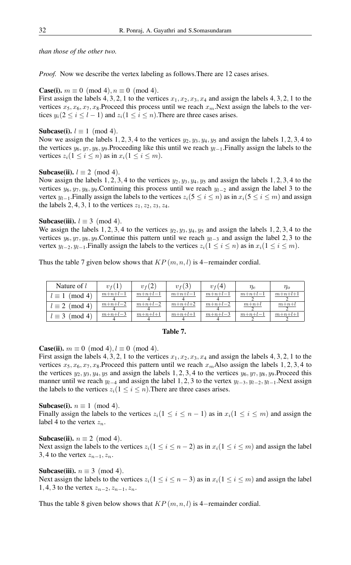*than those of the other two.*

*Proof.* Now we describe the vertex labeling as follows. There are 12 cases arises.

**Case(i).**  $m \equiv 0 \pmod{4}$ ,  $n \equiv 0 \pmod{4}$ .

First assign the labels 4, 3, 2, 1 to the vertices  $x_1, x_2, x_3, x_4$  and assign the labels 4, 3, 2, 1 to the vertices  $x_5, x_6, x_7, x_8$ . Proceed this process until we reach  $x_m$ . Next assign the labels to the vertices  $y_i(2 \le i \le l-1)$  and  $z_i(1 \le i \le n)$ . There are three cases arises.

## **Subcase(i).**  $l \equiv 1 \pmod{4}$ .

Now we assign the labels 1, 2, 3, 4 to the vertices  $y_2, y_3, y_4, y_5$  and assign the labels 1, 2, 3, 4 to the vertices  $y_6, y_7, y_8, y_9$ .Proceeding like this until we reach  $y_{l-1}$ . Finally assign the labels to the vertices  $z_i(1 \leq i \leq n)$  as in  $x_i(1 \leq i \leq m)$ .

## **Subcase(ii).**  $l \equiv 2 \pmod{4}$ .

Now assign the labels 1, 2, 3, 4 to the vertices  $y_2, y_3, y_4, y_5$  and assign the labels 1, 2, 3, 4 to the vertices  $y_6, y_7, y_8, y_9$ .Continuing this process until we reach  $y_{1-2}$  and assign the label 3 to the vertex  $y_{l-1}$ . Finally assign the labels to the vertices  $z_i(5 \le i \le n)$  as in  $x_i(5 \le i \le m)$  and assign the labels 2, 4, 3, 1 to the vertices  $z_1$ ,  $z_2$ ,  $z_3$ ,  $z_4$ .

## **Subcase(iii).**  $l \equiv 3 \pmod{4}$ .

We assign the labels 1, 2, 3, 4 to the vertices  $y_2$ ,  $y_3$ ,  $y_4$ ,  $y_5$  and assign the labels 1, 2, 3, 4 to the vertices  $y_6, y_7, y_8, y_9$ . Continue this pattern until we reach  $y_{1-3}$  and assign the label 2, 3 to the vertex  $y_{l-2}, y_{l-1}$ . Finally assign the labels to the vertices  $z_i(1 \le i \le n)$  as in  $x_i(1 \le i \le m)$ .

Thus the table 7 given below shows that  $KP(m, n, l)$  is 4-remainder cordial.

| Nature of $l$         | $v_f(1)$  | $v_f(2)$  | $v_{f}(3)$ | $v_f(4)$  | $\eta_e$  | $\eta_{o}$ |
|-----------------------|-----------|-----------|------------|-----------|-----------|------------|
| $l \equiv 1 \pmod{4}$ | $m+n+l-1$ | $m+n+l-1$ | $m+n+l-1$  | $m+n+l-1$ | $m+n+l-1$ | $m+n+l+1$  |
| $l \equiv 2 \pmod{4}$ | $m+n+l-2$ | $m+n+l-2$ | $m+n+l+2$  | $m+n+l-2$ | $m+n+l$   | $m+n+l$    |
| $l \equiv 3 \pmod{4}$ | $m+n+l-3$ | $m+n+l+1$ | $m+n+l+1$  | $m+n+l-3$ | $m+n+l-1$ | $m+n+l+1$  |

## Table 7.

**Case(ii).**  $m \equiv 0 \pmod{4}$ ,  $l \equiv 0 \pmod{4}$ .

First assign the labels 4, 3, 2, 1 to the vertices  $x_1, x_2, x_3, x_4$  and assign the labels 4, 3, 2, 1 to the vertices  $x_5, x_6, x_7, x_8$ . Proceed this pattern until we reach  $x_m$  Also assign the labels 1, 2, 3, 4 to the vertices  $y_2, y_3, y_4, y_5$  and assign the labels 1, 2, 3, 4 to the vertices  $y_6, y_7, y_8, y_9$ . Proceed this manner until we reach  $y_{l-4}$  and assign the label 1, 2, 3 to the vertex  $y_{l-3}$ ,  $y_{l-2}$ ,  $y_{l-1}$ .Next assign the labels to the vertices  $z_i(1 \le i \le n)$ . There are three cases arises.

## **Subcase(i).**  $n \equiv 1 \pmod{4}$ .

Finally assign the labels to the vertices  $z_i(1 \leq i \leq n-1)$  as in  $x_i(1 \leq i \leq m)$  and assign the label 4 to the vertex  $z_n$ .

Subcase(ii).  $n \equiv 2 \pmod{4}$ . Next assign the labels to the vertices  $z_i(1 \le i \le n-2)$  as in  $x_i(1 \le i \le m)$  and assign the label 3, 4 to the vertex  $z_{n-1}, z_n$ .

## Subcase(iii).  $n \equiv 3 \pmod{4}$ .

Next assign the labels to the vertices  $z_i(1 \le i \le n-3)$  as in  $x_i(1 \le i \le m)$  and assign the label 1, 4, 3 to the vertex  $z_{n-2}, z_{n-1}, z_n$ .

Thus the table 8 given below shows that  $KP(m, n, l)$  is 4−remainder cordial.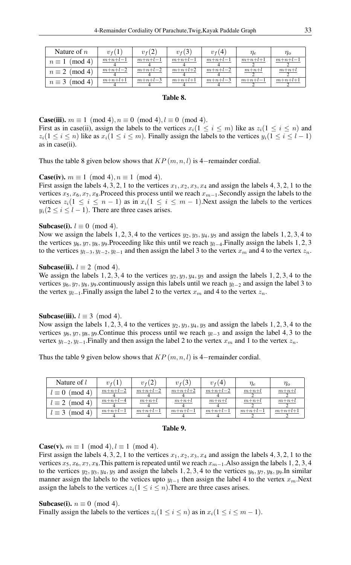| Nature of $n$         | $v_f(1)$  | $v_f(2)$  | $v_f(3)$  | $v_f(4)$  | $\eta_e$  | $\eta_{o}$ |
|-----------------------|-----------|-----------|-----------|-----------|-----------|------------|
| $n \equiv 1 \pmod{4}$ | $m+n+l-1$ | $m+n+l-1$ | $m+n+l-1$ | $m+n+l-1$ | $m+n+l+1$ | $m+n+l-1$  |
| $n \equiv 2 \pmod{4}$ | $m+n+l-2$ | $m+n+l-2$ | $m+n+l+2$ | $m+n+l-2$ | $m+n+l$   | $m+n+l$    |
| $n \equiv 3 \pmod{4}$ | $m+n+l+1$ | $m+n+l-3$ | $m+n+l+1$ | $m+n+l-3$ | $m+n+l-1$ | $m+n+l+1$  |

## Table 8.

**Case(iii).**  $m \equiv 1 \pmod{4}$ ,  $n \equiv 0 \pmod{4}$ ,  $l \equiv 0 \pmod{4}$ . First as in case(ii), assign the labels to the vertices  $x_i(1 \leq i \leq m)$  like as  $z_i(1 \leq i \leq n)$  and  $z_i(1 \le i \le n)$  like as  $x_i(1 \le i \le m)$ . Finally assign the labels to the vertices  $y_i(1 \le i \le l-1)$ as in case(ii).

Thus the table 8 given below shows that  $KP(m, n, l)$  is 4−remainder cordial.

## **Case(iv).**  $m \equiv 1 \pmod{4}$ ,  $n \equiv 1 \pmod{4}$ .

First assign the labels 4, 3, 2, 1 to the vertices  $x_1, x_2, x_3, x_4$  and assign the labels 4, 3, 2, 1 to the vertices  $x_5, x_6, x_7, x_8$ .Proceed this process until we reach  $x_{m-1}$ . Secondly assign the labels to the vertices  $z_i(1 \le i \le n-1)$  as in  $x_i(1 \le i \le m-1)$ . Next assign the labels to the vertices  $y_i(2 \le i \le l-1)$ . There are three cases arises.

## **Subcase(i).**  $l \equiv 0 \pmod{4}$ .

Now we assign the labels 1, 2, 3, 4 to the vertices  $y_2, y_3, y_4, y_5$  and assign the labels 1, 2, 3, 4 to the vertices  $y_6, y_7, y_8, y_9$ .Proceeding like this until we reach  $y_{1-4}$ . Finally assign the labels 1, 2, 3 to the vertices  $y_{l-3}$ ,  $y_{l-2}$ ,  $y_{l-1}$  and then assign the label 3 to the vertex  $x_m$  and 4 to the vertex  $z_n$ .

## Subcase(ii).  $l \equiv 2 \pmod{4}$ .

We assign the labels 1, 2, 3, 4 to the vertices  $y_2$ ,  $y_3$ ,  $y_4$ ,  $y_5$  and assign the labels 1, 2, 3, 4 to the vertices  $y_6, y_7, y_8, y_9$  continuously assign this labels until we reach  $y_{1-2}$  and assign the label 3 to the vertex  $y_{l-1}$ . Finally assign the label 2 to the vertex  $x_m$  and 4 to the vertex  $z_n$ .

## Subcase(iii).  $l \equiv 3 \pmod{4}$ .

Now assign the labels 1, 2, 3, 4 to the vertices  $y_2, y_3, y_4, y_5$  and assign the labels 1, 2, 3, 4 to the vertices  $y_6, y_7, y_8, y_9$ .Continue this process until we reach  $y_{l-3}$  and assign the label 4, 3 to the vertex  $y_{l-2}, y_{l-1}$ . Finally and then assign the label 2 to the vertex  $x_m$  and 1 to the vertex  $z_n$ .

Thus the table 9 given below shows that  $KP(m, n, l)$  is 4−remainder cordial.

| Nature of $l$         | $v_f(1)$  | $v_f(2)$  | $v_f(3)$  | $v_f(4)$  | $\eta_e$  | $\eta_{o}$ |
|-----------------------|-----------|-----------|-----------|-----------|-----------|------------|
| $l \equiv 0 \pmod{4}$ | $m+n+l-2$ | $m+n+l-2$ | $m+n+l+2$ | $m+n+l-2$ | $m+n+l$   | $m+n+l$    |
| $l \equiv 2 \pmod{4}$ | $m+n+l-4$ | $m+n+l$   | $m+n+l$   | $m+n+l$   | $m+n+l$   | $m+n+l$    |
| $l \equiv 3 \pmod{4}$ | $m+n+l-1$ | $m+n+l-1$ | $m+n+l-1$ | $m+n+l-1$ | $m+n+l-1$ | $m+n+l+1$  |



**Case(v).**  $m \equiv 1 \pmod{4}$ ,  $l \equiv 1 \pmod{4}$ .

First assign the labels 4, 3, 2, 1 to the vertices  $x_1, x_2, x_3, x_4$  and assign the labels 4, 3, 2, 1 to the vertices  $x_5, x_6, x_7, x_8$ . This pattern is repeated until we reach  $x_{m-1}$ . Also assign the labels 1, 2, 3, 4 to the vertices  $y_2, y_3, y_4, y_5$  and assign the labels 1, 2, 3, 4 to the vertices  $y_6, y_7, y_8, y_9$ . In similar manner assign the labels to the vetices upto  $y_{l-1}$  then assign the label 4 to the vertex  $x_m$ .Next assign the labels to the vertices  $z_i(1 \leq i \leq n)$ . There are three cases arises.

**Subcase(i).**  $n \equiv 0 \pmod{4}$ .

Finally assign the labels to the vertices  $z_i(1 \le i \le n)$  as in  $x_i(1 \le i \le m-1)$ .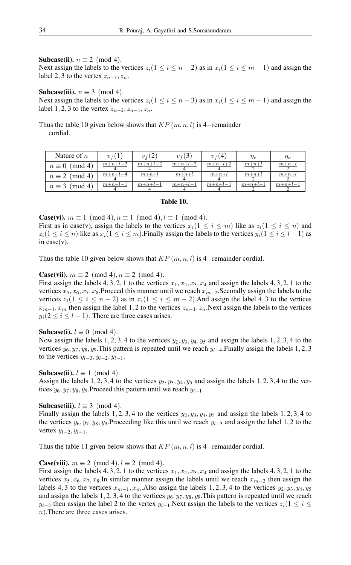# Subcase(ii).  $n \equiv 2 \pmod{4}$ .

Next assign the labels to the vertices  $z_i(1 \le i \le n-2)$  as in  $x_i(1 \le i \le m-1)$  and assign the label 2, 3 to the vertex  $z_{n-1}, z_n$ .

Subcase(iii).  $n \equiv 3 \pmod{4}$ . Next assign the labels to the vertices  $z_i(1 \le i \le n-3)$  as in  $x_i(1 \le i \le m-1)$  and assign the label 1, 2, 3 to the vertex  $z_{n-2}, z_{n-1}, z_n$ .

Thus the table 10 given below shows that  $KP(m, n, l)$  is 4−remainder cordial.

| Nature of $n$         | $v_f(1)$  | $v_f(2)$  | $v_f(3)$  | $v_f(4)$  | $\eta_e$  | $\eta_{o}$ |
|-----------------------|-----------|-----------|-----------|-----------|-----------|------------|
| $n \equiv 0 \pmod{4}$ | $m+n+l-2$ | $m+n+l-2$ | $m+n+l-2$ | $m+n+l+2$ | $m+n+l$   | $m+n+l$    |
| $n \equiv 2 \pmod{4}$ | $m+n+l-4$ | $m+n+l$   | $m+n+l$   | $m+n+l$   | $m+n+l$   | $m+n+l$    |
| $n \equiv 3 \pmod{4}$ | $m+n+l-1$ | $m+n+l-1$ | $m+n+l-1$ | $m+n+l-1$ | $m+n+l+1$ | $m+n+l-1$  |

## Table 10.

**Case(vi).**  $m \equiv 1 \pmod{4}$ ,  $n \equiv 1 \pmod{4}$ ,  $l \equiv 1 \pmod{4}$ .

First as in case(v), assign the labels to the vertices  $x_i(1 \leq i \leq m)$  like as  $z_i(1 \leq i \leq n)$  and  $z_i(1 \le i \le n)$  like as  $x_i(1 \le i \le m)$ . Finally assign the labels to the vertices  $y_i(1 \le i \le l-1)$  as in case(v).

Thus the table 10 given below shows that  $KP(m, n, l)$  is 4−remainder cordial.

**Case(vii).**  $m \equiv 2 \pmod{4}$ ,  $n \equiv 2 \pmod{4}$ .

First assign the labels 4, 3, 2, 1 to the vertices  $x_1, x_2, x_3, x_4$  and assign the labels 4, 3, 2, 1 to the vertices  $x_5, x_6, x_7, x_8$ .Proceed this manner until we reach  $x_{m-2}$ . Secondly assign the labels to the vertices  $z_i(1 \le i \le n-2)$  as in  $x_i(1 \le i \le m-2)$ . And assign the label 4, 3 to the vertices  $x_{m-1}$ ,  $x_m$  then assign the label 1, 2 to the vertices  $z_{n-1}$ ,  $z_n$ . Next assign the labels to the vertices  $y_i(2 \le i \le l-1)$ . There are three cases arises.

# Subcase(i).  $l \equiv 0 \pmod{4}$ .

Now assign the labels 1, 2, 3, 4 to the vertices  $y_2, y_3, y_4, y_5$  and assign the labels 1, 2, 3, 4 to the vertices  $y_6, y_7, y_8, y_9$ . This pattern is repeated until we reach  $y_{l-4}$ . Finally assign the labels 1, 2, 3 to the vertices  $y_{l-3}, y_{l-2}, y_{l-1}$ .

## **Subcase(ii).**  $l \equiv 1 \pmod{4}$ .

Assign the labels 1, 2, 3, 4 to the vertices  $y_2, y_3, y_4, y_5$  and assign the labels 1, 2, 3, 4 to the vertices  $y_6, y_7, y_8, y_9$ .Proceed this pattern until we reach  $y_{l-1}$ .

## **Subcase(iii).**  $l \equiv 3 \pmod{4}$ .

Finally assign the labels 1, 2, 3, 4 to the vertices  $y_2$ ,  $y_3$ ,  $y_4$ ,  $y_5$  and assign the labels 1, 2, 3, 4 to the vertices  $y_6, y_7, y_8, y_9$ .Proceeding like this until we reach  $y_{1-3}$  and assign the label 1, 2 to the vertex  $y_{l-2}, y_{l-1}$ .

Thus the table 11 given below shows that  $KP(m, n, l)$  is 4−remainder cordial.

#### **Case(viii).**  $m \equiv 2 \pmod{4}$ ,  $l \equiv 2 \pmod{4}$ .

First assign the labels 4, 3, 2, 1 to the vertices  $x_1, x_2, x_3, x_4$  and assign the labels 4, 3, 2, 1 to the vertices  $x_5, x_6, x_7, x_8$ .In similar manner assign the labels until we reach  $x_{m-2}$  then assign the labels 4, 3 to the vertices  $x_{m-1}, x_m$ . Also assign the labels 1, 2, 3, 4 to the vertices  $y_2, y_3, y_4, y_5$ and assign the labels 1, 2, 3, 4 to the vertices  $y_6, y_7, y_8, y_9$ . This pattern is repeated until we reach  $y_{l-2}$  then assign the label 2 to the vertex  $y_{l-1}$ .Next assign the labels to the vertices  $z_i(1 \leq i \leq j)$ n).There are three cases arises.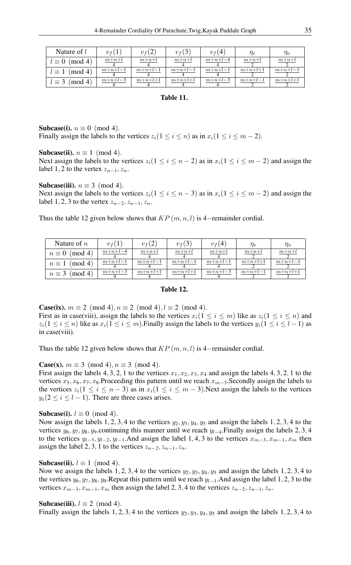| Nature of $l$          | $v_f(1)$  | $v_f(2)$  | $v_f(3)$  | $v_f(4)$  | $\eta_e$  | $\eta_o$  |
|------------------------|-----------|-----------|-----------|-----------|-----------|-----------|
| $l \equiv 0 \pmod{4}$  | $m+n+l$   | $m+n+l$   | $m+n+l$   | $m+n+l-4$ | $m+n+l$   | $m+n+l$   |
| (mod 4)<br>$l\equiv 1$ | $m+n+l-1$ | $m+n+l-1$ | $m+n+l-1$ | $m+n+l-1$ | $m+n+l+1$ | $m+n+l-1$ |
| $l \equiv 3 \pmod{4}$  | $m+n+l-3$ | $m+n+l+1$ | $m+n+l+1$ | $m+n+l-3$ | $m+n+l-1$ | $m+n+l+1$ |

## Table 11.

# Subcase(i).  $n \equiv 0 \pmod{4}$ .

Finally assign the labels to the vertices  $z_i(1 \le i \le n)$  as in  $x_i(1 \le i \le m-2)$ .

**Subcase(ii).**  $n \equiv 1 \pmod{4}$ .

Next assign the labels to the vertices  $z_i(1 \le i \le n-2)$  as in  $x_i(1 \le i \le m-2)$  and assign the label 1, 2 to the vertex  $z_{n-1}, z_n$ .

## Subcase(iii).  $n \equiv 3 \pmod{4}$ .

Next assign the labels to the vertices  $z_i(1 \le i \le n-3)$  as in  $x_i(1 \le i \le m-2)$  and assign the label 1, 2, 3 to the vertex  $z_{n-2}, z_{n-1}, z_n$ .

Thus the table 12 given below shows that  $KP(m, n, l)$  is 4−remainder cordial.

| Nature of $n$             | $v_f(1)$  | $v_f(2)$  | $v_f(3)$  | $v_{f}(4)$ | $\eta_e$  | $\eta_o$  |
|---------------------------|-----------|-----------|-----------|------------|-----------|-----------|
| $n \equiv 0 \pmod{4}$     | $m+n+l-4$ | $m+n+l$   | $m+n+l$   | $m+n+l$    | $m+n+l$   | $m+n+l$   |
| $\pmod{4}$<br>$n\equiv 1$ | $m+n+l-1$ | $m+n+l-1$ | $m+n+l-1$ | $m+n+l-1$  | $m+n+l+1$ | $m+n+l-1$ |
| $n \equiv 3 \pmod{4}$     | $m+n+l-3$ | $m+n+l+1$ | $m+n+l+1$ | $m+n+l-3$  | $m+n+l-1$ | $m+n+l+1$ |

# Table 12.

**Case(ix).**  $m \equiv 2 \pmod{4}$ ,  $n \equiv 2 \pmod{4}$ ,  $l \equiv 2 \pmod{4}$ . First as in case(viii), assign the labels to the vertices  $x_i(1 \le i \le m)$  like as  $z_i(1 \le i \le n)$  and  $z_i(1 \le i \le n)$  like as  $x_i(1 \le i \le m)$ . Finally assign the labels to the vertices  $y_i(1 \le i \le l-1)$  as in case(viii).

Thus the table 12 given below shows that  $KP(m, n, l)$  is 4−remainder cordial.

# **Case(x).**  $m \equiv 3 \pmod{4}$ ,  $n \equiv 3 \pmod{4}$ .

First assign the labels 4, 3, 2, 1 to the vertices  $x_1, x_2, x_3, x_4$  and assign the labels 4, 3, 2, 1 to the vertices  $x_5, x_6, x_7, x_8$ .Proceeding this pattern until we reach  $x_{m-3}$ .Secondly assign the labels to the vertices  $z_i(1 \le i \le n-3)$  as in  $x_i(1 \le i \le m-3)$ . Next assign the labels to the vertices  $y_i(2 \le i \le l-1)$ . There are three cases arises.

# **Subcase(i).**  $l \equiv 0 \pmod{4}$ .

Now assign the labels 1, 2, 3, 4 to the vertices  $y_2, y_3, y_4, y_5$  and assign the labels 1, 2, 3, 4 to the vertices  $y_6, y_7, y_8, y_9$  continuing this manner until we reach  $y_{l-4}$ . Finally assign the labels 2, 3, 4 to the vertices  $y_{l-3}, y_{l-2}, y_{l-1}$ . And assign the label 1, 4, 3 to the vertices  $x_{m-3}, x_{m-1}, x_m$  then assign the label 2, 3, 1 to the vertices  $z_{n-2}, z_{n-1}, z_n$ .

## **Subcase(ii).**  $l \equiv 1 \pmod{4}$ .

Now we assign the labels 1, 2, 3, 4 to the vertices  $y_2, y_3, y_4, y_5$  and assign the labels 1, 2, 3, 4 to the vertices  $y_6, y_7, y_8, y_9$ . Repeat this pattern until we reach  $y_{l-1}$ . And assign the label 1, 2, 3 to the vertices  $x_{m-3}, x_{m-1}, x_m$  then assign the label 2, 3, 4 to the vertices  $z_{n-2}, z_{n-1}, z_n$ .

## Subcase(iii).  $l \equiv 2 \pmod{4}$ .

Finally assign the labels 1, 2, 3, 4 to the vertices  $y_2, y_3, y_4, y_5$  and assign the labels 1, 2, 3, 4 to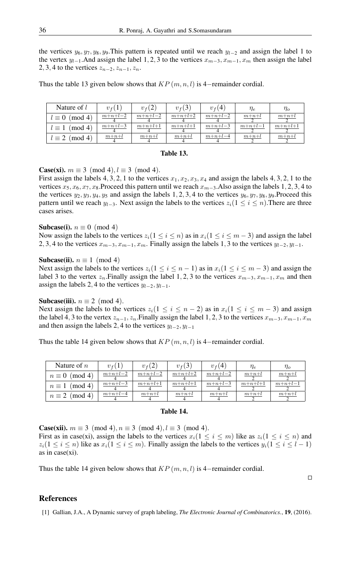the vertices  $y_6, y_7, y_8, y_9$ . This pattern is repeated until we reach  $y_{1-2}$  and assign the label 1 to the vertex  $y_{l-1}$ . And assign the label 1, 2, 3 to the vertices  $x_{m-3}, x_{m-1}, x_m$  then assign the label 2, 3, 4 to the vertices  $z_{n-2}, z_{n-1}, z_n$ .

Thus the table 13 given below shows that  $KP(m, n, l)$  is 4−remainder cordial.

| Nature of $l$          | $v_f(1)$  | $v_{f}(2)$ | $v_f(3)$  | $v_f(4)$  | $\eta_e$  | $\eta_o$  |
|------------------------|-----------|------------|-----------|-----------|-----------|-----------|
| $l \equiv 0 \pmod{4}$  | $m+n+l-2$ | $m+n+l-2$  | $m+n+l+2$ | $m+n+l-2$ | $m+n+l$   | $m+n+l$   |
| (mod 4)<br>$l\equiv 1$ | $m+n+l-3$ | $m+n+l+1$  | $m+n+l+1$ | $m+n+l-3$ | $m+n+l-1$ | $m+n+l+1$ |
| $l \equiv 2 \pmod{4}$  | $m+n+l$   | $m+n+l$    | $m+n+l$   | $m+n+l-4$ | $m+n+l$   | $m+n+l$   |

## Table 13.

**Case(xi).**  $m \equiv 3 \pmod{4}, l \equiv 3 \pmod{4}$ .

First assign the labels 4, 3, 2, 1 to the vertices  $x_1, x_2, x_3, x_4$  and assign the labels 4, 3, 2, 1 to the vertices  $x_5, x_6, x_7, x_8$ .Proceed this pattern until we reach  $x_{m-3}$ .Also assign the labels 1, 2, 3, 4 to the vertices  $y_2, y_3, y_4, y_5$  and assign the labels 1, 2, 3, 4 to the vertices  $y_6, y_7, y_8, y_9$ . Proceed this pattern until we reach  $y_{l-3}$ . Next assign the labels to the vertices  $z_i(1 \le i \le n)$ . There are three cases arises.

## Subcase(i).  $n \equiv 0 \pmod{4}$

Now assign the labels to the vertices  $z_i(1 \le i \le n)$  as in  $x_i(1 \le i \le m-3)$  and assign the label 2, 3, 4 to the vertices  $x_{m-3}, x_{m-1}, x_m$ . Finally assign the labels 1, 3 to the vertices  $y_{l-2}, y_{l-1}$ .

## Subcase(ii).  $n \equiv 1 \pmod{4}$

Next assign the labels to the vertices  $z_i(1 \le i \le n-1)$  as in  $x_i(1 \le i \le m-3)$  and assign the label 3 to the vertex  $z_n$ .Finally assign the label 1, 2, 3 to the vertices  $x_{m-3}, x_{m-1}, x_m$  and then assign the labels 2, 4 to the vertices  $y_{l-2}, y_{l-1}$ .

## Subcase(iii).  $n \equiv 2 \pmod{4}$ .

Next assign the labels to the vertices  $z_i(1 \le i \le n-2)$  as in  $x_i(1 \le i \le m-3)$  and assign the label 4, 3 to the vertex  $z_{n-1}, z_n$ . Finally assign the label 1, 2, 3 to the vertices  $x_{m-3}, x_{m-1}, x_m$ and then assign the labels 2, 4 to the vertices  $y_{l-2}$ ,  $y_{l-1}$ 

Thus the table 14 given below shows that  $KP(m, n, l)$  is 4−remainder cordial.

| Nature of $n$         | $v_f(1)$  | $v_f(2)$  | $v_f(3)$  | $v_f(4)$  | $\eta_e$  | $\eta_o$  |
|-----------------------|-----------|-----------|-----------|-----------|-----------|-----------|
| $n \equiv 0 \pmod{4}$ | $m+n+l-2$ | $m+n+l-2$ | $m+n+l+2$ | $m+n+l-2$ | $m+n+l$   | $m+n+l$   |
| $n \equiv 1 \pmod{4}$ | $m+n+l-3$ | $m+n+l+1$ | $m+n+l+1$ | $m+n+l-3$ | $m+n+l+1$ | $m+n+l-1$ |
| $n \equiv 2 \pmod{4}$ | $m+n+l-4$ | $m+n+l$   | $m+n+l$   | $m+n+l$   | $m+n+l$   | $m+n+l$   |

# Table 14.

**Case(xii).**  $m \equiv 3 \pmod{4}$ ,  $n \equiv 3 \pmod{4}$ ,  $l \equiv 3 \pmod{4}$ .

First as in case(xi), assign the labels to the vertices  $x_i(1 \leq i \leq m)$  like as  $z_i(1 \leq i \leq n)$  and  $z_i(1 \le i \le n)$  like as  $x_i(1 \le i \le m)$ . Finally assign the labels to the vertices  $y_i(1 \le i \le l-1)$ as in case(xi).

Thus the table 14 given below shows that  $KP(m, n, l)$  is 4−remainder cordial.

## $\Box$

# <span id="page-10-0"></span>References

[1] Gallian, J.A., A Dynamic survey of graph labeling, *The Electronic Journal of Combinatorics.*, 19, (2016).